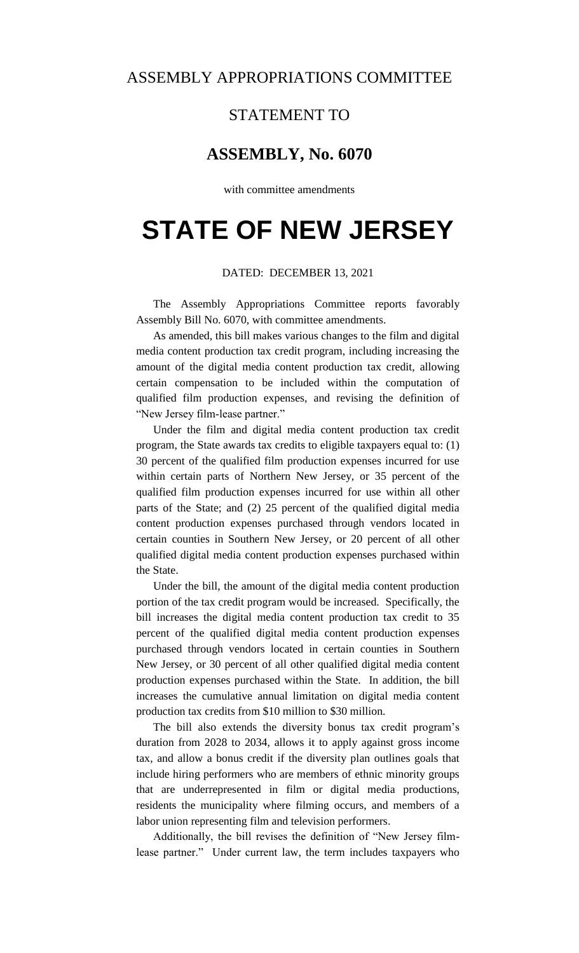## ASSEMBLY APPROPRIATIONS COMMITTEE

## STATEMENT TO

# **ASSEMBLY, No. 6070**

with committee amendments

# **STATE OF NEW JERSEY**

### DATED: DECEMBER 13, 2021

The Assembly Appropriations Committee reports favorably Assembly Bill No. 6070, with committee amendments.

As amended, this bill makes various changes to the film and digital media content production tax credit program, including increasing the amount of the digital media content production tax credit, allowing certain compensation to be included within the computation of qualified film production expenses, and revising the definition of "New Jersey film-lease partner."

Under the film and digital media content production tax credit program, the State awards tax credits to eligible taxpayers equal to: (1) 30 percent of the qualified film production expenses incurred for use within certain parts of Northern New Jersey, or 35 percent of the qualified film production expenses incurred for use within all other parts of the State; and (2) 25 percent of the qualified digital media content production expenses purchased through vendors located in certain counties in Southern New Jersey, or 20 percent of all other qualified digital media content production expenses purchased within the State.

Under the bill, the amount of the digital media content production portion of the tax credit program would be increased. Specifically, the bill increases the digital media content production tax credit to 35 percent of the qualified digital media content production expenses purchased through vendors located in certain counties in Southern New Jersey, or 30 percent of all other qualified digital media content production expenses purchased within the State. In addition, the bill increases the cumulative annual limitation on digital media content production tax credits from \$10 million to \$30 million.

The bill also extends the diversity bonus tax credit program's duration from 2028 to 2034, allows it to apply against gross income tax, and allow a bonus credit if the diversity plan outlines goals that include hiring performers who are members of ethnic minority groups that are underrepresented in film or digital media productions, residents the municipality where filming occurs, and members of a labor union representing film and television performers.

Additionally, the bill revises the definition of "New Jersey filmlease partner." Under current law, the term includes taxpayers who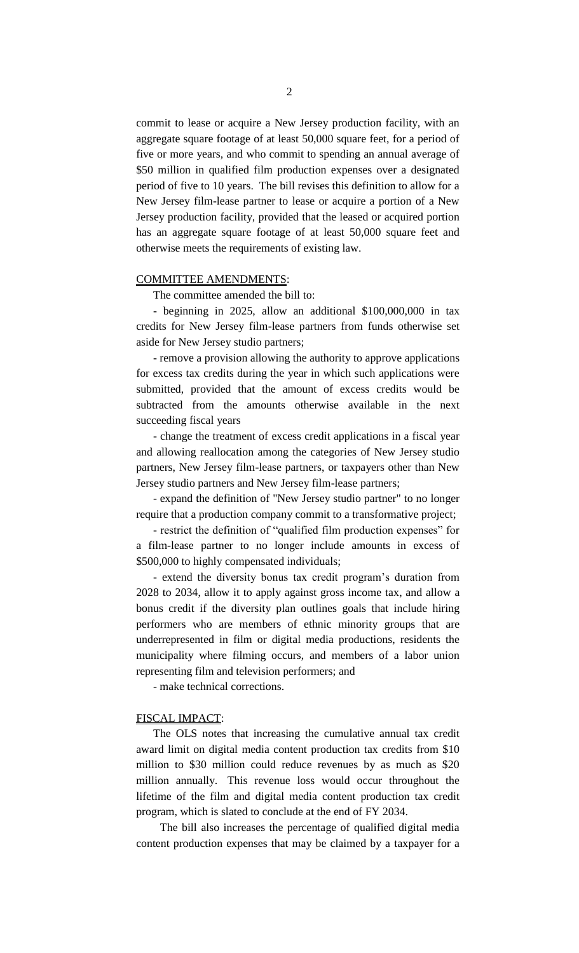commit to lease or acquire a New Jersey production facility, with an aggregate square footage of at least 50,000 square feet, for a period of five or more years, and who commit to spending an annual average of \$50 million in qualified film production expenses over a designated period of five to 10 years. The bill revises this definition to allow for a New Jersey film-lease partner to lease or acquire a portion of a New Jersey production facility, provided that the leased or acquired portion has an aggregate square footage of at least 50,000 square feet and otherwise meets the requirements of existing law.

## COMMITTEE AMENDMENTS:

The committee amended the bill to:

- beginning in 2025, allow an additional \$100,000,000 in tax credits for New Jersey film-lease partners from funds otherwise set aside for New Jersey studio partners;

- remove a provision allowing the authority to approve applications for excess tax credits during the year in which such applications were submitted, provided that the amount of excess credits would be subtracted from the amounts otherwise available in the next succeeding fiscal years

- change the treatment of excess credit applications in a fiscal year and allowing reallocation among the categories of New Jersey studio partners, New Jersey film-lease partners, or taxpayers other than New Jersey studio partners and New Jersey film-lease partners;

- expand the definition of "New Jersey studio partner" to no longer require that a production company commit to a transformative project;

- restrict the definition of "qualified film production expenses" for a film-lease partner to no longer include amounts in excess of \$500,000 to highly compensated individuals;

- extend the diversity bonus tax credit program's duration from 2028 to 2034, allow it to apply against gross income tax, and allow a bonus credit if the diversity plan outlines goals that include hiring performers who are members of ethnic minority groups that are underrepresented in film or digital media productions, residents the municipality where filming occurs, and members of a labor union representing film and television performers; and

- make technical corrections.

#### FISCAL IMPACT:

The OLS notes that increasing the cumulative annual tax credit award limit on digital media content production tax credits from \$10 million to \$30 million could reduce revenues by as much as \$20 million annually. This revenue loss would occur throughout the lifetime of the film and digital media content production tax credit program, which is slated to conclude at the end of FY 2034.

 The bill also increases the percentage of qualified digital media content production expenses that may be claimed by a taxpayer for a